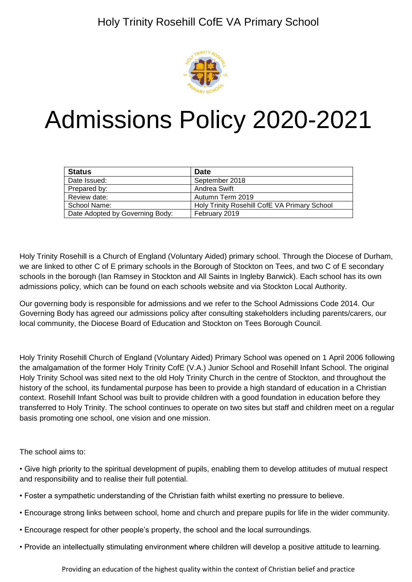

# Admissions Policy 2020-2021

| <b>Status</b>                   | <b>Date</b>                                  |
|---------------------------------|----------------------------------------------|
| Date Issued:                    | September 2018                               |
| Prepared by:                    | Andrea Swift                                 |
| Review date:                    | Autumn Term 2019                             |
| School Name:                    | Holy Trinity Rosehill CofE VA Primary School |
| Date Adopted by Governing Body: | February 2019                                |

Holy Trinity Rosehill is a Church of England (Voluntary Aided) primary school. Through the Diocese of Durham, we are linked to other C of E primary schools in the Borough of Stockton on Tees, and two C of E secondary schools in the borough (Ian Ramsey in Stockton and All Saints in Ingleby Barwick). Each school has its own admissions policy, which can be found on each schools website and via Stockton Local Authority.

Our governing body is responsible for admissions and we refer to the School Admissions Code 2014. Our Governing Body has agreed our admissions policy after consulting stakeholders including parents/carers, our local community, the Diocese Board of Education and Stockton on Tees Borough Council.

Holy Trinity Rosehill Church of England (Voluntary Aided) Primary School was opened on 1 April 2006 following the amalgamation of the former Holy Trinity CofE (V.A.) Junior School and Rosehill Infant School. The original Holy Trinity School was sited next to the old Holy Trinity Church in the centre of Stockton, and throughout the history of the school, its fundamental purpose has been to provide a high standard of education in a Christian context. Rosehill Infant School was built to provide children with a good foundation in education before they transferred to Holy Trinity. The school continues to operate on two sites but staff and children meet on a regular basis promoting one school, one vision and one mission.

The school aims to:

• Give high priority to the spiritual development of pupils, enabling them to develop attitudes of mutual respect and responsibility and to realise their full potential.

- Foster a sympathetic understanding of the Christian faith whilst exerting no pressure to believe.
- Encourage strong links between school, home and church and prepare pupils for life in the wider community.
- Encourage respect for other people's property, the school and the local surroundings.
- Provide an intellectually stimulating environment where children will develop a positive attitude to learning.

Providing an education of the highest quality within the context of Christian belief and practice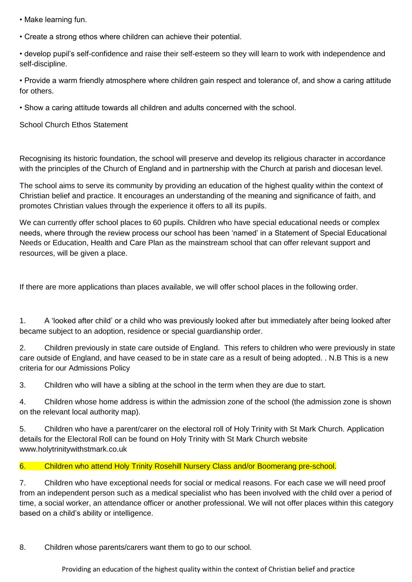- Make learning fun.
- Create a strong ethos where children can achieve their potential.

• develop pupil's self-confidence and raise their self-esteem so they will learn to work with independence and self-discipline.

• Provide a warm friendly atmosphere where children gain respect and tolerance of, and show a caring attitude for others.

• Show a caring attitude towards all children and adults concerned with the school.

School Church Ethos Statement

Recognising its historic foundation, the school will preserve and develop its religious character in accordance with the principles of the Church of England and in partnership with the Church at parish and diocesan level.

The school aims to serve its community by providing an education of the highest quality within the context of Christian belief and practice. It encourages an understanding of the meaning and significance of faith, and promotes Christian values through the experience it offers to all its pupils.

We can currently offer school places to 60 pupils. Children who have special educational needs or complex needs, where through the review process our school has been 'named' in a Statement of Special Educational Needs or Education, Health and Care Plan as the mainstream school that can offer relevant support and resources, will be given a place.

If there are more applications than places available, we will offer school places in the following order.

1. A 'looked after child' or a child who was previously looked after but immediately after being looked after became subject to an adoption, residence or special guardianship order.

2. Children previously in state care outside of England. This refers to children who were previously in state care outside of England, and have ceased to be in state care as a result of being adopted. . N.B This is a new criteria for our Admissions Policy

3. Children who will have a sibling at the school in the term when they are due to start.

4. Children whose home address is within the admission zone of the school (the admission zone is shown on the relevant local authority map).

5. Children who have a parent/carer on the electoral roll of Holy Trinity with St Mark Church. Application details for the Electoral Roll can be found on Holy Trinity with St Mark Church website www.holytrinitywithstmark.co.uk

## 6. Children who attend Holy Trinity Rosehill Nursery Class and/or Boomerang pre-school.

7. Children who have exceptional needs for social or medical reasons. For each case we will need proof from an independent person such as a medical specialist who has been involved with the child over a period of time, a social worker, an attendance officer or another professional. We will not offer places within this category based on a child's ability or intelligence.

8. Children whose parents/carers want them to go to our school.

Providing an education of the highest quality within the context of Christian belief and practice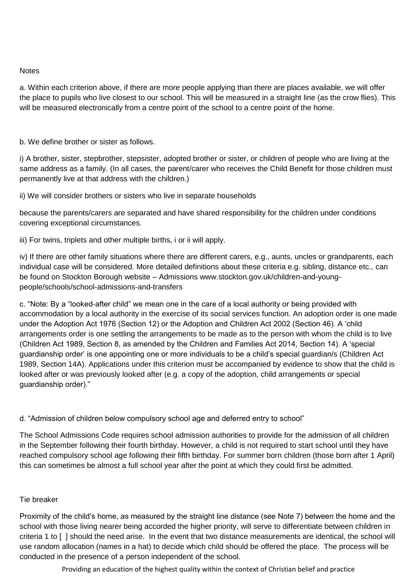## **Notes**

a. Within each criterion above, if there are more people applying than there are places available, we will offer the place to pupils who live closest to our school. This will be measured in a straight line (as the crow flies). This will be measured electronically from a centre point of the school to a centre point of the home.

b. We define brother or sister as follows.

i) A brother, sister, stepbrother, stepsister, adopted brother or sister, or children of people who are living at the same address as a family. (In all cases, the parent/carer who receives the Child Benefit for those children must permanently live at that address with the children.)

ii) We will consider brothers or sisters who live in separate households

because the parents/carers are separated and have shared responsibility for the children under conditions covering exceptional circumstances.

iii) For twins, triplets and other multiple births, i or ii will apply.

iv) If there are other family situations where there are different carers, e.g., aunts, uncles or grandparents, each individual case will be considered. More detailed definitions about these criteria e.g. sibling, distance etc., can be found on Stockton Borough website – Admissions www.stockton.gov.uk/children-and-youngpeople/schools/school-admissions-and-transfers

c. "Note: By a "looked-after child" we mean one in the care of a local authority or being provided with accommodation by a local authority in the exercise of its social services function. An adoption order is one made under the Adoption Act 1976 (Section 12) or the Adoption and Children Act 2002 (Section 46). A 'child arrangements order is one settling the arrangements to be made as to the person with whom the child is to live (Children Act 1989, Section 8, as amended by the Children and Families Act 2014, Section 14). A 'special guardianship order' is one appointing one or more individuals to be a child's special guardian/s (Children Act 1989, Section 14A). Applications under this criterion must be accompanied by evidence to show that the child is looked after or was previously looked after (e.g. a copy of the adoption, child arrangements or special guardianship order)."

d. "Admission of children below compulsory school age and deferred entry to school"

The School Admissions Code requires school admission authorities to provide for the admission of all children in the September following their fourth birthday. However, a child is not required to start school until they have reached compulsory school age following their fifth birthday. For summer born children (those born after 1 April) this can sometimes be almost a full school year after the point at which they could first be admitted.

## Tie breaker

Proximity of the child's home, as measured by the straight line distance (see Note 7) between the home and the school with those living nearer being accorded the higher priority, will serve to differentiate between children in criteria 1 to [ ] should the need arise. In the event that two distance measurements are identical, the school will use random allocation (names in a hat) to decide which child should be offered the place. The process will be conducted in the presence of a person independent of the school.

Providing an education of the highest quality within the context of Christian belief and practice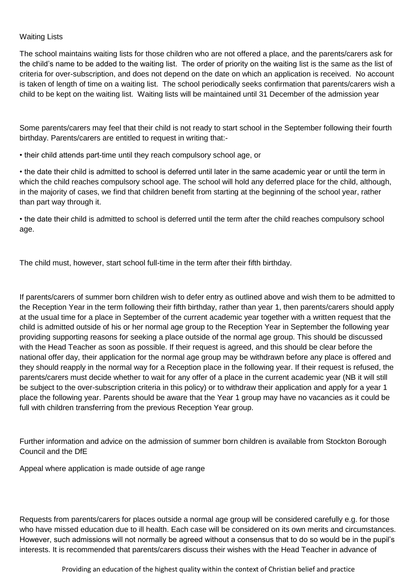## Waiting Lists

The school maintains waiting lists for those children who are not offered a place, and the parents/carers ask for the child's name to be added to the waiting list. The order of priority on the waiting list is the same as the list of criteria for over-subscription, and does not depend on the date on which an application is received. No account is taken of length of time on a waiting list. The school periodically seeks confirmation that parents/carers wish a child to be kept on the waiting list. Waiting lists will be maintained until 31 December of the admission year

Some parents/carers may feel that their child is not ready to start school in the September following their fourth birthday. Parents/carers are entitled to request in writing that:-

• their child attends part-time until they reach compulsory school age, or

• the date their child is admitted to school is deferred until later in the same academic year or until the term in which the child reaches compulsory school age. The school will hold any deferred place for the child, although, in the majority of cases, we find that children benefit from starting at the beginning of the school year, rather than part way through it.

• the date their child is admitted to school is deferred until the term after the child reaches compulsory school age.

The child must, however, start school full-time in the term after their fifth birthday.

If parents/carers of summer born children wish to defer entry as outlined above and wish them to be admitted to the Reception Year in the term following their fifth birthday, rather than year 1, then parents/carers should apply at the usual time for a place in September of the current academic year together with a written request that the child is admitted outside of his or her normal age group to the Reception Year in September the following year providing supporting reasons for seeking a place outside of the normal age group. This should be discussed with the Head Teacher as soon as possible. If their request is agreed, and this should be clear before the national offer day, their application for the normal age group may be withdrawn before any place is offered and they should reapply in the normal way for a Reception place in the following year. If their request is refused, the parents/carers must decide whether to wait for any offer of a place in the current academic year (NB it will still be subject to the over-subscription criteria in this policy) or to withdraw their application and apply for a year 1 place the following year. Parents should be aware that the Year 1 group may have no vacancies as it could be full with children transferring from the previous Reception Year group.

Further information and advice on the admission of summer born children is available from Stockton Borough Council and the DfE

Appeal where application is made outside of age range

Requests from parents/carers for places outside a normal age group will be considered carefully e.g. for those who have missed education due to ill health. Each case will be considered on its own merits and circumstances. However, such admissions will not normally be agreed without a consensus that to do so would be in the pupil's interests. It is recommended that parents/carers discuss their wishes with the Head Teacher in advance of